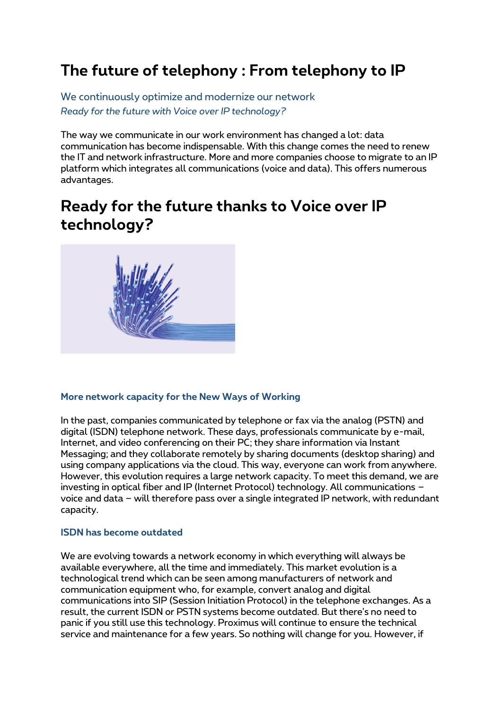# **The future of telephony : From telephony to IP**

We continuously optimize and modernize our network *Ready for the future with Voice over IP technology?*

The way we communicate in our work environment has changed a lot: data communication has become indispensable. With this change comes the need to renew the IT and network infrastructure. More and more companies choose to migrate to an IP platform which integrates all communications (voice and data). This offers numerous advantages.

# **Ready for the future thanks to Voice over IP technology?**



#### **More network capacity for the New Ways of Working**

In the past, companies communicated by telephone or fax via the analog (PSTN) and digital (ISDN) telephone network. These days, professionals communicate by e-mail, Internet, and video conferencing on their PC; they share information via Instant Messaging; and they collaborate remotely by sharing documents (desktop sharing) and using company applications via the cloud. This way, everyone can work from anywhere. However, this evolution requires a large network capacity. To meet this demand, we are investing in optical fiber and IP (Internet Protocol) technology. All communications – voice and data – will therefore pass over a single integrated IP network, with redundant capacity.

#### **ISDN has become outdated**

We are evolving towards a network economy in which everything will always be available everywhere, all the time and immediately. This market evolution is a technological trend which can be seen among manufacturers of network and communication equipment who, for example, convert analog and digital communications into SIP (Session Initiation Protocol) in the telephone exchanges. As a result, the current ISDN or PSTN systems become outdated. But there's no need to panic if you still use this technology. Proximus will continue to ensure the technical service and maintenance for a few years. So nothing will change for you. However, if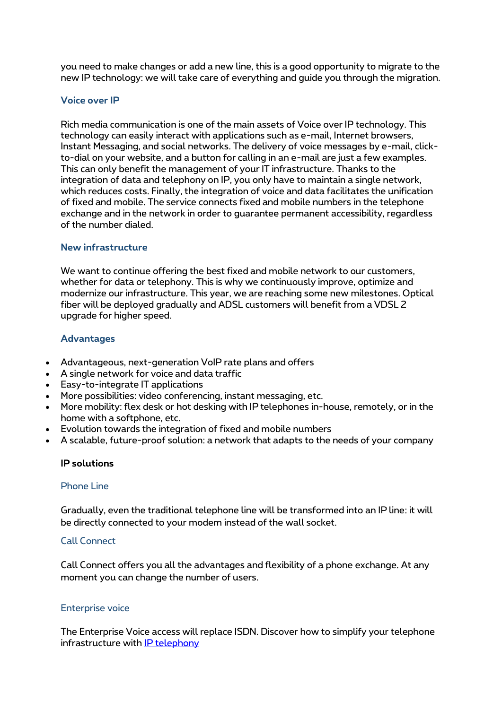you need to make changes or add a new line, this is a good opportunity to migrate to the new IP technology: we will take care of everything and guide you through the migration.

# **Voice over IP**

Rich media communication is one of the main assets of Voice over IP technology. This technology can easily interact with applications such as e-mail, Internet browsers, Instant Messaging, and social networks. The delivery of voice messages by e-mail, clickto-dial on your website, and a button for calling in an e-mail are just a few examples. This can only benefit the management of your IT infrastructure. Thanks to the integration of data and telephony on IP, you only have to maintain a single network, which reduces costs. Finally, the integration of voice and data facilitates the unification of fixed and mobile. The service connects fixed and mobile numbers in the telephone exchange and in the network in order to guarantee permanent accessibility, regardless of the number dialed.

#### **New infrastructure**

We want to continue offering the best fixed and mobile network to our customers, whether for data or telephony. This is why we continuously improve, optimize and modernize our infrastructure. This year, we are reaching some new milestones. Optical fiber will be deployed gradually and ADSL customers will benefit from a VDSL 2 upgrade for higher speed.

# **Advantages**

- Advantageous, next-generation VoIP rate plans and offers
- A single network for voice and data traffic
- Easy-to-integrate IT applications
- More possibilities: video conferencing, instant messaging, etc.
- More mobility: flex desk or hot desking with IP telephones in-house, remotely, or in the home with a softphone, etc.
- Evolution towards the integration of fixed and mobile numbers
- A scalable, future-proof solution: a network that adapts to the needs of your company

#### **IP solutions**

#### Phone Line

Gradually, even the traditional telephone line will be transformed into an IP line: it will be directly connected to your modem instead of the wall socket.

#### Call Connect

Call Connect offers you all the advantages and flexibility of a phone exchange. At any moment you can change the number of users.

#### Enterprise voice

The Enterprise Voice access will replace ISDN. Discover how to simplify your telephone infrastructure with [IP telephony](http://www.proximus.be/fr/id_cl_iptelephony/grandes-entreprises-et-secteur-public/solutions/telephonie-fixe/lignes-telephoniques/bizz-ip-telephony.html)